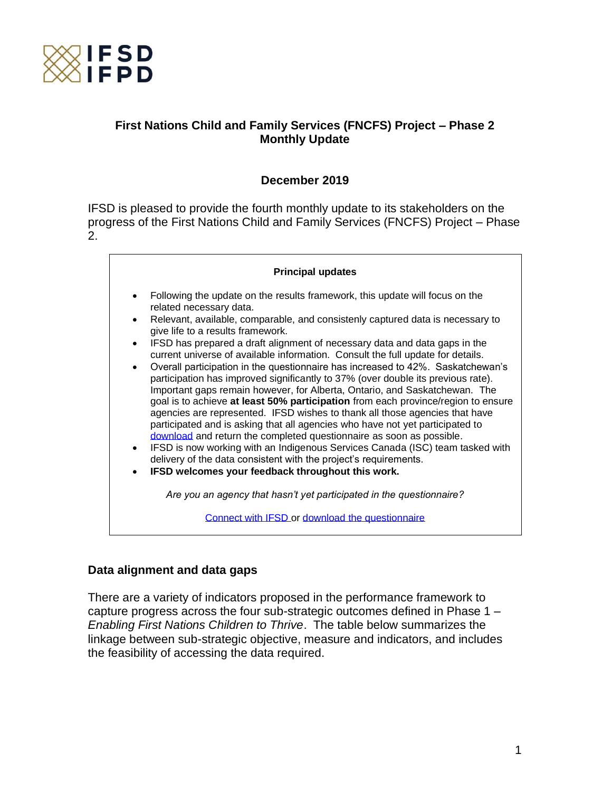

# **First Nations Child and Family Services (FNCFS) Project – Phase 2 Monthly Update**

# **December 2019**

IFSD is pleased to provide the fourth monthly update to its stakeholders on the progress of the First Nations Child and Family Services (FNCFS) Project – Phase 2.



### **Data alignment and data gaps**

There are a variety of indicators proposed in the performance framework to capture progress across the four sub-strategic outcomes defined in Phase 1 – *Enabling First Nations Children to Thrive*. The table below summarizes the linkage between sub-strategic objective, measure and indicators, and includes the feasibility of accessing the data required.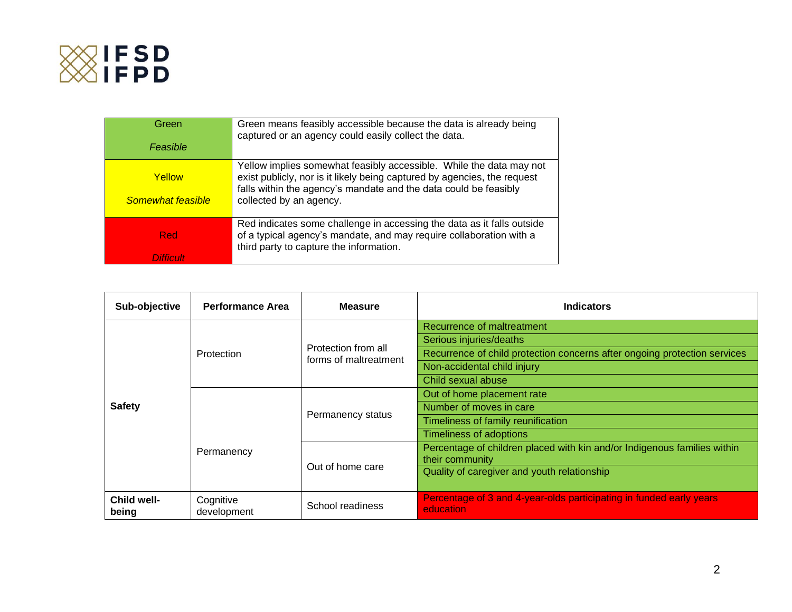

| Green<br>Feasible           | Green means feasibly accessible because the data is already being<br>captured or an agency could easily collect the data.                                                                                                                      |
|-----------------------------|------------------------------------------------------------------------------------------------------------------------------------------------------------------------------------------------------------------------------------------------|
| Yellow<br>Somewhat feasible | Yellow implies somewhat feasibly accessible. While the data may not<br>exist publicly, nor is it likely being captured by agencies, the request<br>falls within the agency's mandate and the data could be feasibly<br>collected by an agency. |
| Red<br>Difficulti           | Red indicates some challenge in accessing the data as it falls outside<br>of a typical agency's mandate, and may require collaboration with a<br>third party to capture the information.                                                       |

| Sub-objective        | <b>Performance Area</b>  | <b>Measure</b>                               | <b>Indicators</b>                                                                                                                                                                       |
|----------------------|--------------------------|----------------------------------------------|-----------------------------------------------------------------------------------------------------------------------------------------------------------------------------------------|
| <b>Safety</b>        | Protection               | Protection from all<br>forms of maltreatment | Recurrence of maltreatment<br>Serious injuries/deaths<br>Recurrence of child protection concerns after ongoing protection services<br>Non-accidental child injury<br>Child sexual abuse |
|                      | Permanency               | Permanency status                            | Out of home placement rate<br>Number of moves in care<br>Timeliness of family reunification<br><b>Timeliness of adoptions</b>                                                           |
|                      |                          | Out of home care                             | Percentage of children placed with kin and/or Indigenous families within<br>their community<br>Quality of caregiver and youth relationship                                              |
| Child well-<br>being | Cognitive<br>development | School readiness                             | Percentage of 3 and 4-year-olds participating in funded early years<br>education                                                                                                        |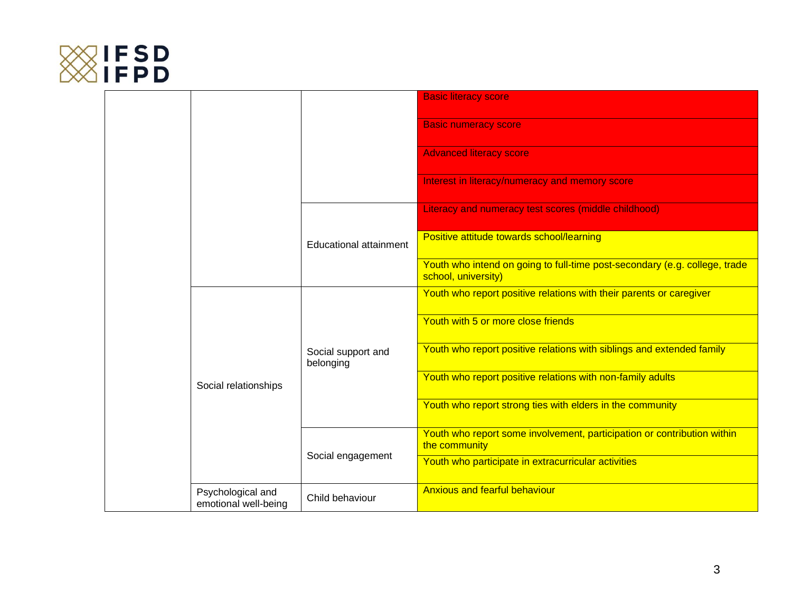

|  |                                           |                                 | <b>Basic literacy score</b>                                                                       |
|--|-------------------------------------------|---------------------------------|---------------------------------------------------------------------------------------------------|
|  |                                           |                                 | <b>Basic numeracy score</b>                                                                       |
|  |                                           |                                 | <b>Advanced literacy score</b>                                                                    |
|  |                                           |                                 | Interest in literacy/numeracy and memory score                                                    |
|  |                                           |                                 | Literacy and numeracy test scores (middle childhood)                                              |
|  |                                           | Educational attainment          | Positive attitude towards school/learning                                                         |
|  |                                           |                                 | Youth who intend on going to full-time post-secondary (e.g. college, trade<br>school, university) |
|  |                                           | Social support and<br>belonging | Youth who report positive relations with their parents or caregiver                               |
|  |                                           |                                 | Youth with 5 or more close friends                                                                |
|  |                                           |                                 | Youth who report positive relations with siblings and extended family                             |
|  | Social relationships                      |                                 | Youth who report positive relations with non-family adults                                        |
|  |                                           |                                 | Youth who report strong ties with elders in the community                                         |
|  |                                           | Social engagement               | Youth who report some involvement, participation or contribution within<br>the community          |
|  |                                           |                                 | Youth who participate in extracurricular activities                                               |
|  | Psychological and<br>emotional well-being | Child behaviour                 | <b>Anxious and fearful behaviour</b>                                                              |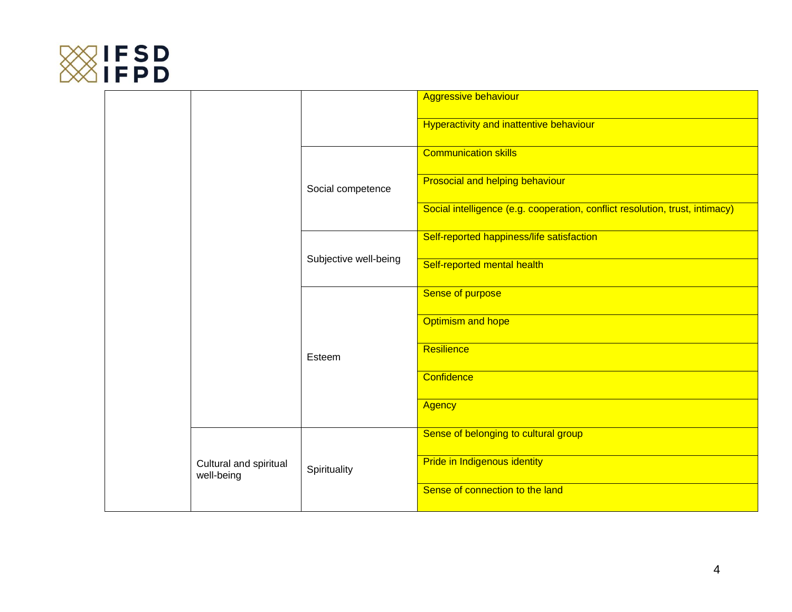

|                                      |                       |                             | <b>Aggressive behaviour</b>                                                  |
|--------------------------------------|-----------------------|-----------------------------|------------------------------------------------------------------------------|
|                                      |                       |                             | Hyperactivity and inattentive behaviour                                      |
|                                      |                       | Social competence           | <b>Communication skills</b>                                                  |
|                                      |                       |                             | <b>Prosocial and helping behaviour</b>                                       |
|                                      |                       |                             | Social intelligence (e.g. cooperation, conflict resolution, trust, intimacy) |
| Cultural and spiritual<br>well-being |                       |                             | Self-reported happiness/life satisfaction                                    |
|                                      | Subjective well-being | Self-reported mental health |                                                                              |
|                                      | Esteem                | Sense of purpose            |                                                                              |
|                                      |                       | <b>Optimism and hope</b>    |                                                                              |
|                                      |                       | Resilience                  |                                                                              |
|                                      |                       | Confidence                  |                                                                              |
|                                      |                       |                             | <b>Agency</b>                                                                |
|                                      |                       | Spirituality                | Sense of belonging to cultural group                                         |
|                                      |                       |                             | Pride in Indigenous identity                                                 |
|                                      |                       |                             | Sense of connection to the land                                              |
|                                      |                       |                             |                                                                              |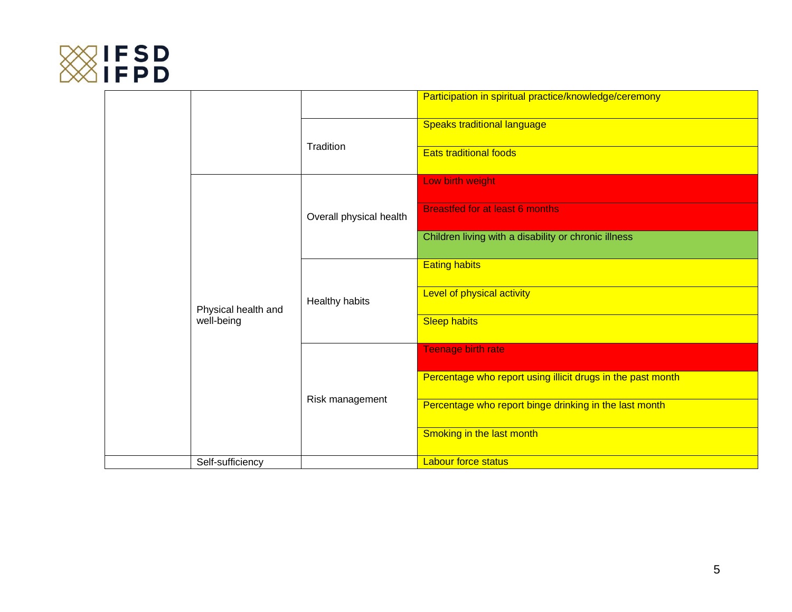

|                                   |                  |                            | Participation in spiritual practice/knowledge/ceremony      |
|-----------------------------------|------------------|----------------------------|-------------------------------------------------------------|
|                                   |                  | Tradition                  | <b>Speaks traditional language</b>                          |
|                                   |                  |                            | <b>Eats traditional foods</b>                               |
|                                   |                  | Overall physical health    | Low birth weight                                            |
|                                   |                  |                            | <b>Breastfed for at least 6 months</b>                      |
|                                   |                  |                            | Children living with a disability or chronic illness        |
|                                   |                  |                            | <b>Eating habits</b>                                        |
| Physical health and<br>well-being | Healthy habits   | Level of physical activity |                                                             |
|                                   |                  | <b>Sleep habits</b>        |                                                             |
|                                   |                  | Risk management            | <b>Teenage birth rate</b>                                   |
|                                   |                  |                            | Percentage who report using illicit drugs in the past month |
|                                   |                  |                            | Percentage who report binge drinking in the last month      |
|                                   |                  |                            | Smoking in the last month                                   |
|                                   | Self-sufficiency |                            | <b>Labour force status</b>                                  |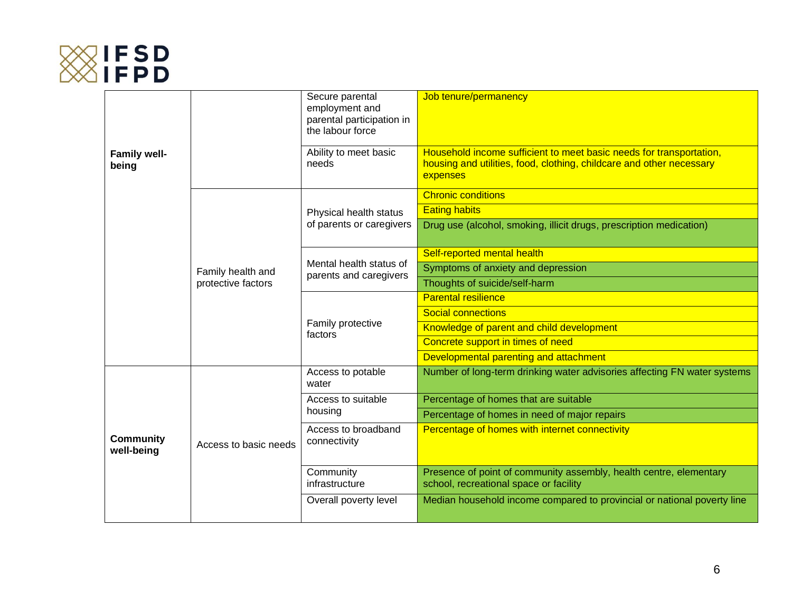

|                                |                       | Secure parental<br>employment and<br>parental participation in<br>the labour force | Job tenure/permanency                                                                                                                                   |
|--------------------------------|-----------------------|------------------------------------------------------------------------------------|---------------------------------------------------------------------------------------------------------------------------------------------------------|
| <b>Family well-</b><br>being   |                       | Ability to meet basic<br>needs                                                     | Household income sufficient to meet basic needs for transportation,<br>housing and utilities, food, clothing, childcare and other necessary<br>expenses |
|                                |                       |                                                                                    | <b>Chronic conditions</b>                                                                                                                               |
|                                |                       | Physical health status                                                             | <b>Eating habits</b>                                                                                                                                    |
|                                |                       | of parents or caregivers                                                           | Drug use (alcohol, smoking, illicit drugs, prescription medication)                                                                                     |
|                                |                       | Mental health status of<br>parents and caregivers                                  | Self-reported mental health                                                                                                                             |
|                                | Family health and     |                                                                                    | Symptoms of anxiety and depression                                                                                                                      |
|                                | protective factors    |                                                                                    | Thoughts of suicide/self-harm                                                                                                                           |
|                                |                       | Family protective<br>factors                                                       | <b>Parental resilience</b>                                                                                                                              |
|                                |                       |                                                                                    | <b>Social connections</b>                                                                                                                               |
|                                |                       |                                                                                    | Knowledge of parent and child development                                                                                                               |
|                                |                       |                                                                                    | Concrete support in times of need                                                                                                                       |
|                                |                       |                                                                                    | Developmental parenting and attachment                                                                                                                  |
|                                | Access to basic needs | Access to potable<br>water                                                         | Number of long-term drinking water advisories affecting FN water systems                                                                                |
|                                |                       | Access to suitable<br>housing                                                      | Percentage of homes that are suitable                                                                                                                   |
| <b>Community</b><br>well-being |                       |                                                                                    | Percentage of homes in need of major repairs                                                                                                            |
|                                |                       | Access to broadband<br>connectivity                                                | Percentage of homes with internet connectivity                                                                                                          |
|                                |                       | Community<br>infrastructure                                                        | Presence of point of community assembly, health centre, elementary<br>school, recreational space or facility                                            |
|                                |                       | Overall poverty level                                                              | Median household income compared to provincial or national poverty line                                                                                 |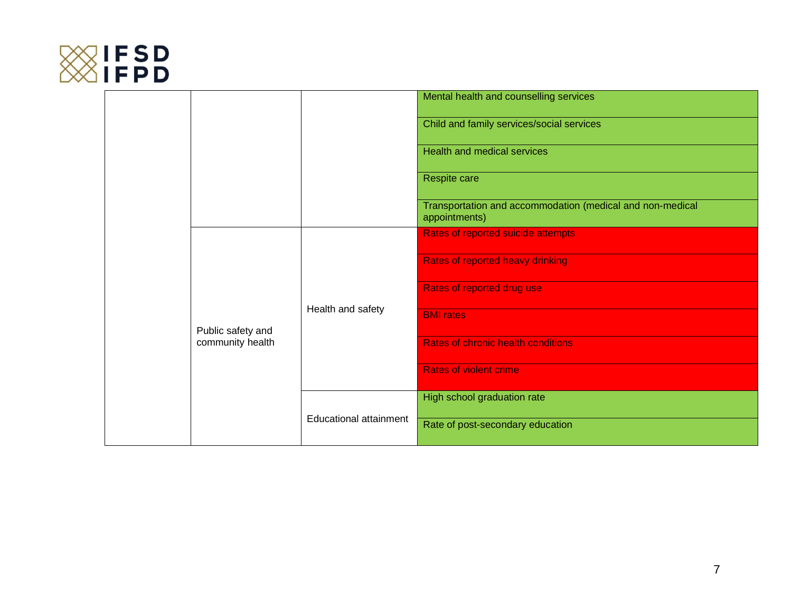

|  |                                       |                               | Mental health and counselling services                                     |
|--|---------------------------------------|-------------------------------|----------------------------------------------------------------------------|
|  |                                       |                               | Child and family services/social services                                  |
|  |                                       |                               | <b>Health and medical services</b>                                         |
|  |                                       |                               | Respite care                                                               |
|  |                                       |                               | Transportation and accommodation (medical and non-medical<br>appointments) |
|  |                                       |                               | Rates of reported suicide attempts                                         |
|  |                                       |                               | <b>Rates of reported heavy drinking</b>                                    |
|  |                                       | Rates of reported drug use    |                                                                            |
|  | Public safety and<br>community health | Health and safety             | <b>BMI</b> rates                                                           |
|  |                                       |                               | <b>Rates of chronic health conditions</b>                                  |
|  |                                       |                               | <b>Rates of violent crime</b>                                              |
|  |                                       | <b>Educational attainment</b> | High school graduation rate                                                |
|  |                                       |                               | Rate of post-secondary education                                           |
|  |                                       |                               |                                                                            |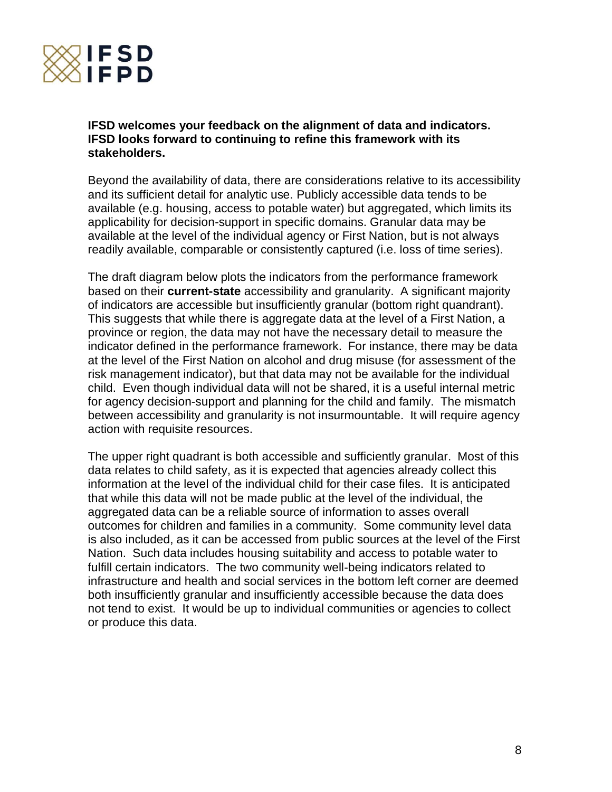

### **IFSD welcomes your feedback on the alignment of data and indicators. IFSD looks forward to continuing to refine this framework with its stakeholders.**

Beyond the availability of data, there are considerations relative to its accessibility and its sufficient detail for analytic use. Publicly accessible data tends to be available (e.g. housing, access to potable water) but aggregated, which limits its applicability for decision-support in specific domains. Granular data may be available at the level of the individual agency or First Nation, but is not always readily available, comparable or consistently captured (i.e. loss of time series).

The draft diagram below plots the indicators from the performance framework based on their **current-state** accessibility and granularity. A significant majority of indicators are accessible but insufficiently granular (bottom right quandrant). This suggests that while there is aggregate data at the level of a First Nation, a province or region, the data may not have the necessary detail to measure the indicator defined in the performance framework. For instance, there may be data at the level of the First Nation on alcohol and drug misuse (for assessment of the risk management indicator), but that data may not be available for the individual child. Even though individual data will not be shared, it is a useful internal metric for agency decision-support and planning for the child and family. The mismatch between accessibility and granularity is not insurmountable. It will require agency action with requisite resources.

The upper right quadrant is both accessible and sufficiently granular. Most of this data relates to child safety, as it is expected that agencies already collect this information at the level of the individual child for their case files. It is anticipated that while this data will not be made public at the level of the individual, the aggregated data can be a reliable source of information to asses overall outcomes for children and families in a community. Some community level data is also included, as it can be accessed from public sources at the level of the First Nation. Such data includes housing suitability and access to potable water to fulfill certain indicators. The two community well-being indicators related to infrastructure and health and social services in the bottom left corner are deemed both insufficiently granular and insufficiently accessible because the data does not tend to exist. It would be up to individual communities or agencies to collect or produce this data.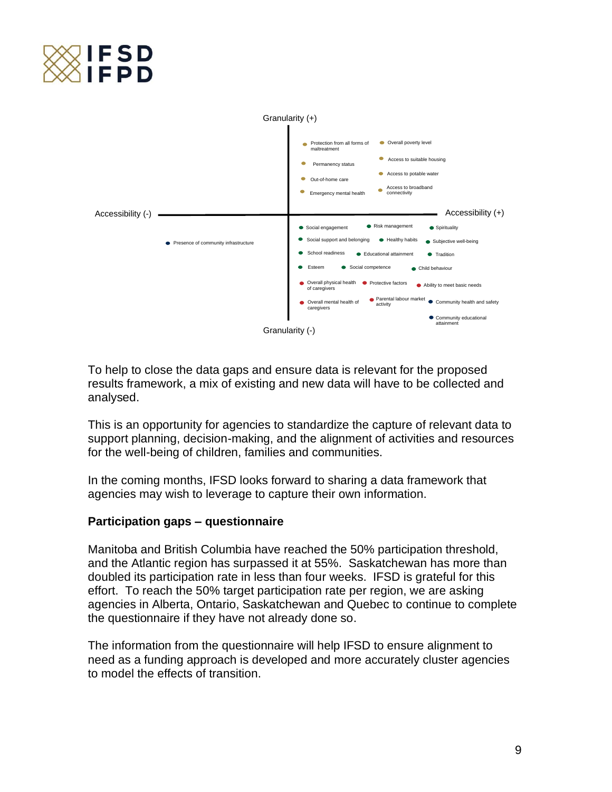



To help to close the data gaps and ensure data is relevant for the proposed results framework, a mix of existing and new data will have to be collected and analysed.

This is an opportunity for agencies to standardize the capture of relevant data to support planning, decision-making, and the alignment of activities and resources for the well-being of children, families and communities.

In the coming months, IFSD looks forward to sharing a data framework that agencies may wish to leverage to capture their own information.

#### **Participation gaps – questionnaire**

Manitoba and British Columbia have reached the 50% participation threshold, and the Atlantic region has surpassed it at 55%. Saskatchewan has more than doubled its participation rate in less than four weeks. IFSD is grateful for this effort. To reach the 50% target participation rate per region, we are asking agencies in Alberta, Ontario, Saskatchewan and Quebec to continue to complete the questionnaire if they have not already done so.

The information from the questionnaire will help IFSD to ensure alignment to need as a funding approach is developed and more accurately cluster agencies to model the effects of transition.